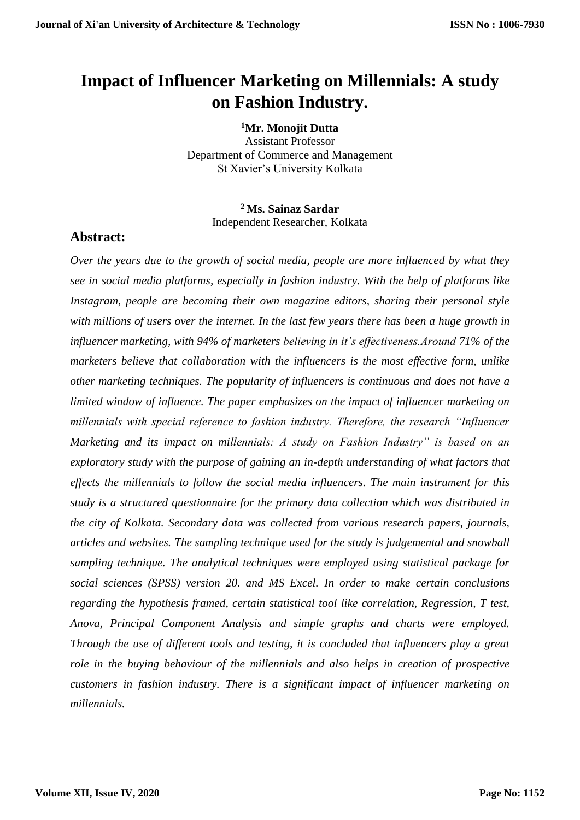# **Impact of Influencer Marketing on Millennials: A study on Fashion Industry.**

**<sup>1</sup>Mr. Monojit Dutta** Assistant Professor Department of Commerce and Management St Xavier's University Kolkata

> **<sup>2</sup>Ms. Sainaz Sardar** Independent Researcher, Kolkata

## **Abstract:**

*Over the years due to the growth of social media, people are more influenced by what they see in social media platforms, especially in fashion industry. With the help of platforms like Instagram, people are becoming their own magazine editors, sharing their personal style with millions of users over the internet. In the last few years there has been a huge growth in influencer marketing, with 94% of marketers believing in it's effectiveness.Around 71% of the marketers believe that collaboration with the influencers is the most effective form, unlike other marketing techniques. The popularity of influencers is continuous and does not have a limited window of influence. The paper emphasizes on the impact of influencer marketing on millennials with special reference to fashion industry. Therefore, the research "Influencer Marketing and its impact on millennials: A study on Fashion Industry" is based on an exploratory study with the purpose of gaining an in-depth understanding of what factors that effects the millennials to follow the social media influencers. The main instrument for this study is a structured questionnaire for the primary data collection which was distributed in the city of Kolkata. Secondary data was collected from various research papers, journals, articles and websites. The sampling technique used for the study is judgemental and snowball sampling technique. The analytical techniques were employed using statistical package for social sciences (SPSS) version 20. and MS Excel. In order to make certain conclusions regarding the hypothesis framed, certain statistical tool like correlation, Regression, T test, Anova, Principal Component Analysis and simple graphs and charts were employed. Through the use of different tools and testing, it is concluded that influencers play a great role in the buying behaviour of the millennials and also helps in creation of prospective customers in fashion industry. There is a significant impact of influencer marketing on millennials.*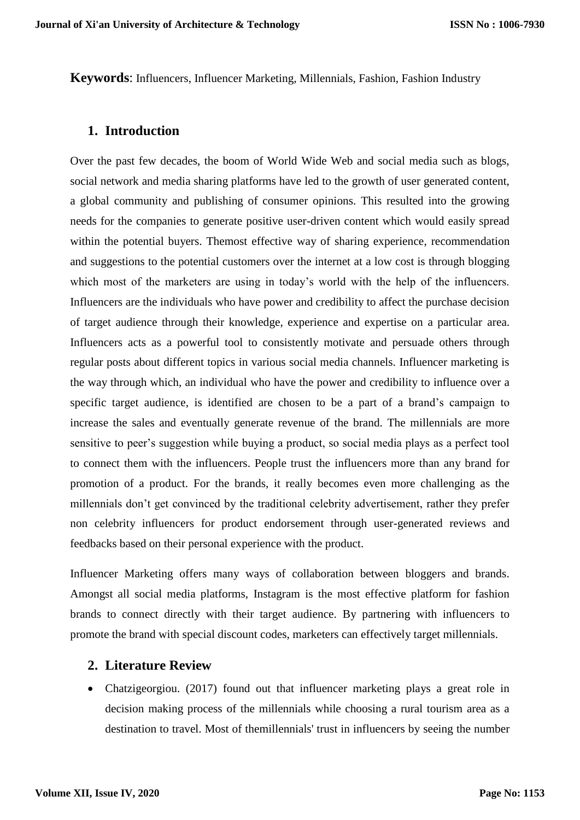**Keywords**: Influencers, Influencer Marketing, Millennials, Fashion, Fashion Industry

### **1. Introduction**

Over the past few decades, the boom of World Wide Web and social media such as blogs, social network and media sharing platforms have led to the growth of user generated content, a global community and publishing of consumer opinions. This resulted into the growing needs for the companies to generate positive user-driven content which would easily spread within the potential buyers. Themost effective way of sharing experience, recommendation and suggestions to the potential customers over the internet at a low cost is through blogging which most of the marketers are using in today's world with the help of the influencers. Influencers are the individuals who have power and credibility to affect the purchase decision of target audience through their knowledge, experience and expertise on a particular area. Influencers acts as a powerful tool to consistently motivate and persuade others through regular posts about different topics in various social media channels. Influencer marketing is the way through which, an individual who have the power and credibility to influence over a specific target audience, is identified are chosen to be a part of a brand's campaign to increase the sales and eventually generate revenue of the brand. The millennials are more sensitive to peer's suggestion while buying a product, so social media plays as a perfect tool to connect them with the influencers. People trust the influencers more than any brand for promotion of a product. For the brands, it really becomes even more challenging as the millennials don't get convinced by the traditional celebrity advertisement, rather they prefer non celebrity influencers for product endorsement through user-generated reviews and feedbacks based on their personal experience with the product.

Influencer Marketing offers many ways of collaboration between bloggers and brands. Amongst all social media platforms, Instagram is the most effective platform for fashion brands to connect directly with their target audience. By partnering with influencers to promote the brand with special discount codes, marketers can effectively target millennials.

### **2. Literature Review**

• Chatzigeorgiou. (2017) found out that influencer marketing plays a great role in decision making process of the millennials while choosing a rural tourism area as a destination to travel. Most of themillennials' trust in influencers by seeing the number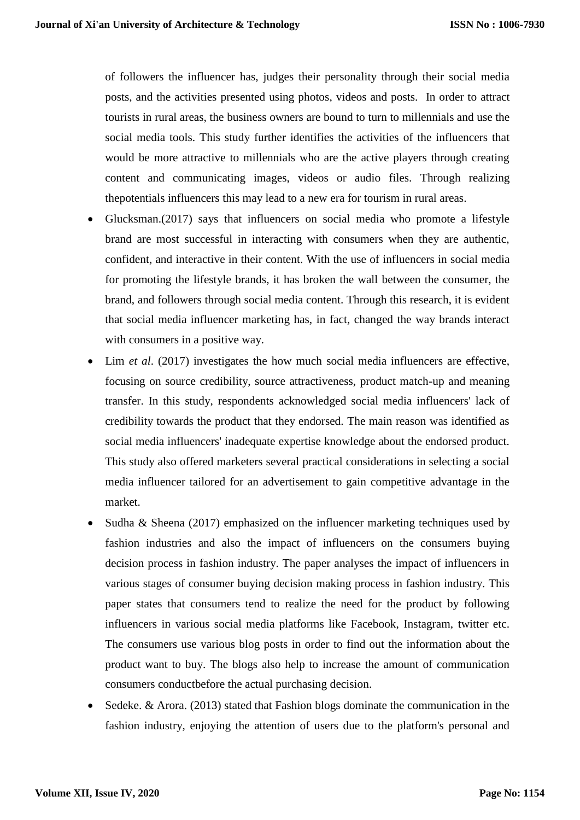of followers the influencer has, judges their personality through their social media posts, and the activities presented using photos, videos and posts. In order to attract tourists in rural areas, the business owners are bound to turn to millennials and use the social media tools. This study further identifies the activities of the influencers that would be more attractive to millennials who are the active players through creating content and communicating images, videos or audio files. Through realizing thepotentials influencers this may lead to a new era for tourism in rural areas.

- Glucksman.(2017) says that influencers on social media who promote a lifestyle brand are most successful in interacting with consumers when they are authentic, confident, and interactive in their content. With the use of influencers in social media for promoting the lifestyle brands, it has broken the wall between the consumer, the brand, and followers through social media content. Through this research, it is evident that social media influencer marketing has, in fact, changed the way brands interact with consumers in a positive way.
- Lim *et al*. (2017) investigates the how much social media influencers are effective, focusing on source credibility, source attractiveness, product match-up and meaning transfer. In this study, respondents acknowledged social media influencers' lack of credibility towards the product that they endorsed. The main reason was identified as social media influencers' inadequate expertise knowledge about the endorsed product. This study also offered marketers several practical considerations in selecting a social media influencer tailored for an advertisement to gain competitive advantage in the market.
- Sudha & Sheena (2017) emphasized on the influencer marketing techniques used by fashion industries and also the impact of influencers on the consumers buying decision process in fashion industry. The paper analyses the impact of influencers in various stages of consumer buying decision making process in fashion industry. This paper states that consumers tend to realize the need for the product by following influencers in various social media platforms like Facebook, Instagram, twitter etc. The consumers use various blog posts in order to find out the information about the product want to buy. The blogs also help to increase the amount of communication consumers conductbefore the actual purchasing decision.
- Sedeke. & Arora. (2013) stated that Fashion blogs dominate the communication in the fashion industry, enjoying the attention of users due to the platform's personal and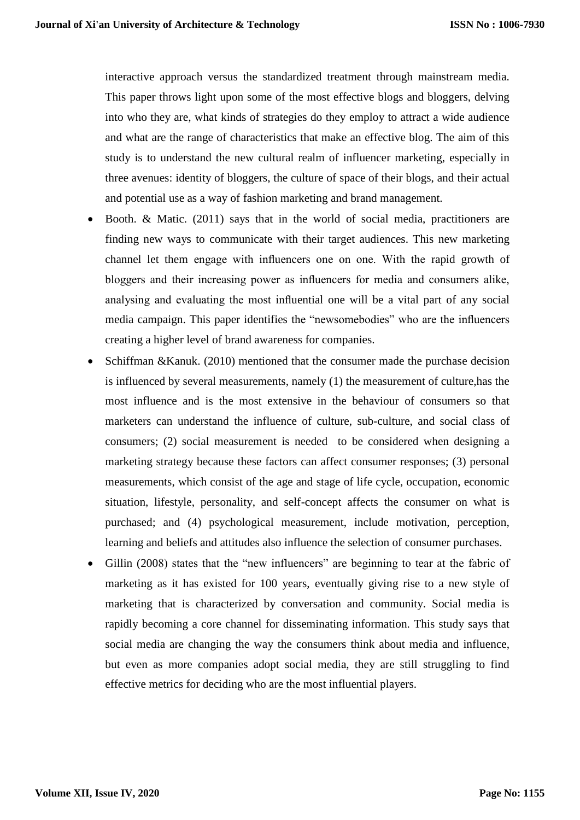interactive approach versus the standardized treatment through mainstream media. This paper throws light upon some of the most effective blogs and bloggers, delving into who they are, what kinds of strategies do they employ to attract a wide audience and what are the range of characteristics that make an effective blog. The aim of this study is to understand the new cultural realm of influencer marketing, especially in three avenues: identity of bloggers, the culture of space of their blogs, and their actual and potential use as a way of fashion marketing and brand management.

- $\bullet$  Booth. & Matic. (2011) says that in the world of social media, practitioners are finding new ways to communicate with their target audiences. This new marketing channel let them engage with influencers one on one. With the rapid growth of bloggers and their increasing power as influencers for media and consumers alike, analysing and evaluating the most influential one will be a vital part of any social media campaign. This paper identifies the "newsomebodies" who are the influencers creating a higher level of brand awareness for companies.
- Schiffman &Kanuk. (2010) mentioned that the consumer made the purchase decision is influenced by several measurements, namely (1) the measurement of culture,has the most influence and is the most extensive in the behaviour of consumers so that marketers can understand the influence of culture, sub-culture, and social class of consumers; (2) social measurement is needed to be considered when designing a marketing strategy because these factors can affect consumer responses; (3) personal measurements, which consist of the age and stage of life cycle, occupation, economic situation, lifestyle, personality, and self-concept affects the consumer on what is purchased; and (4) psychological measurement, include motivation, perception, learning and beliefs and attitudes also influence the selection of consumer purchases.
- Gillin (2008) states that the "new influencers" are beginning to tear at the fabric of marketing as it has existed for 100 years, eventually giving rise to a new style of marketing that is characterized by conversation and community. Social media is rapidly becoming a core channel for disseminating information. This study says that social media are changing the way the consumers think about media and influence, but even as more companies adopt social media, they are still struggling to find effective metrics for deciding who are the most influential players.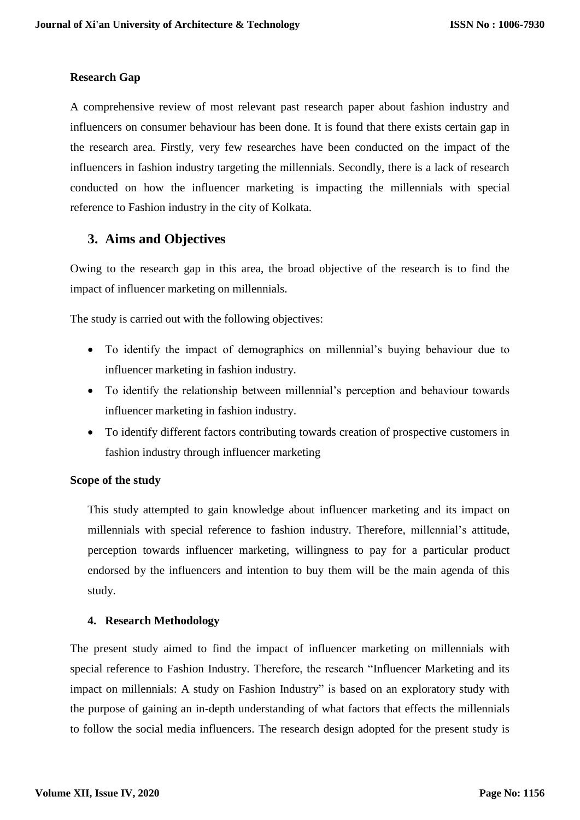## **Research Gap**

A comprehensive review of most relevant past research paper about fashion industry and influencers on consumer behaviour has been done. It is found that there exists certain gap in the research area. Firstly, very few researches have been conducted on the impact of the influencers in fashion industry targeting the millennials. Secondly, there is a lack of research conducted on how the influencer marketing is impacting the millennials with special reference to Fashion industry in the city of Kolkata.

## **3. Aims and Objectives**

Owing to the research gap in this area, the broad objective of the research is to find the impact of influencer marketing on millennials.

The study is carried out with the following objectives:

- To identify the impact of demographics on millennial's buying behaviour due to influencer marketing in fashion industry.
- To identify the relationship between millennial's perception and behaviour towards influencer marketing in fashion industry.
- To identify different factors contributing towards creation of prospective customers in fashion industry through influencer marketing

#### **Scope of the study**

This study attempted to gain knowledge about influencer marketing and its impact on millennials with special reference to fashion industry. Therefore, millennial's attitude, perception towards influencer marketing, willingness to pay for a particular product endorsed by the influencers and intention to buy them will be the main agenda of this study.

### **4. Research Methodology**

The present study aimed to find the impact of influencer marketing on millennials with special reference to Fashion Industry. Therefore, the research "Influencer Marketing and its impact on millennials: A study on Fashion Industry" is based on an exploratory study with the purpose of gaining an in-depth understanding of what factors that effects the millennials to follow the social media influencers. The research design adopted for the present study is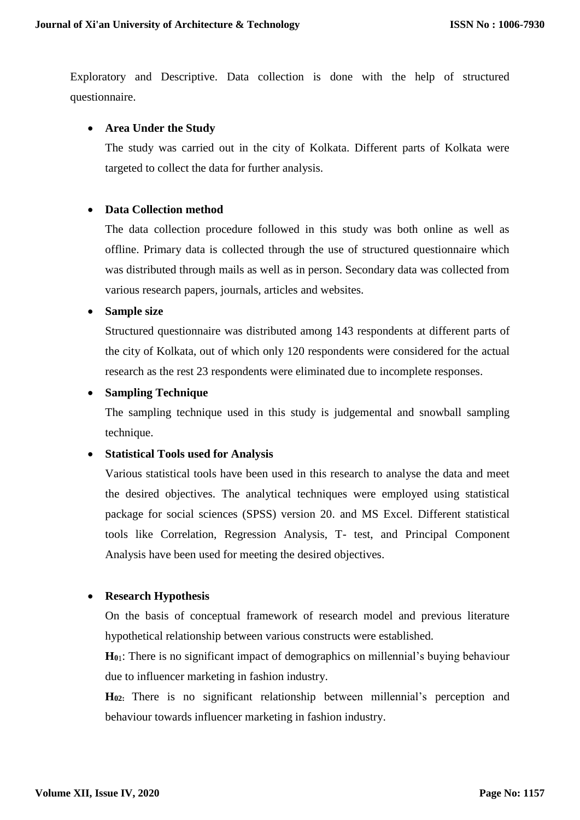Exploratory and Descriptive. Data collection is done with the help of structured questionnaire.

### **Area Under the Study**

The study was carried out in the city of Kolkata. Different parts of Kolkata were targeted to collect the data for further analysis.

#### **Data Collection method**

The data collection procedure followed in this study was both online as well as offline. Primary data is collected through the use of structured questionnaire which was distributed through mails as well as in person. Secondary data was collected from various research papers, journals, articles and websites.

#### **Sample size**

Structured questionnaire was distributed among 143 respondents at different parts of the city of Kolkata, out of which only 120 respondents were considered for the actual research as the rest 23 respondents were eliminated due to incomplete responses.

#### **Sampling Technique**

The sampling technique used in this study is judgemental and snowball sampling technique.

#### **Statistical Tools used for Analysis**

Various statistical tools have been used in this research to analyse the data and meet the desired objectives. The analytical techniques were employed using statistical package for social sciences (SPSS) version 20. and MS Excel. Different statistical tools like Correlation, Regression Analysis, T- test, and Principal Component Analysis have been used for meeting the desired objectives.

#### **Research Hypothesis**

On the basis of conceptual framework of research model and previous literature hypothetical relationship between various constructs were established.

**H<sup>0</sup>**1: There is no significant impact of demographics on millennial's buying behaviour due to influencer marketing in fashion industry.

**H02:** There is no significant relationship between millennial's perception and behaviour towards influencer marketing in fashion industry.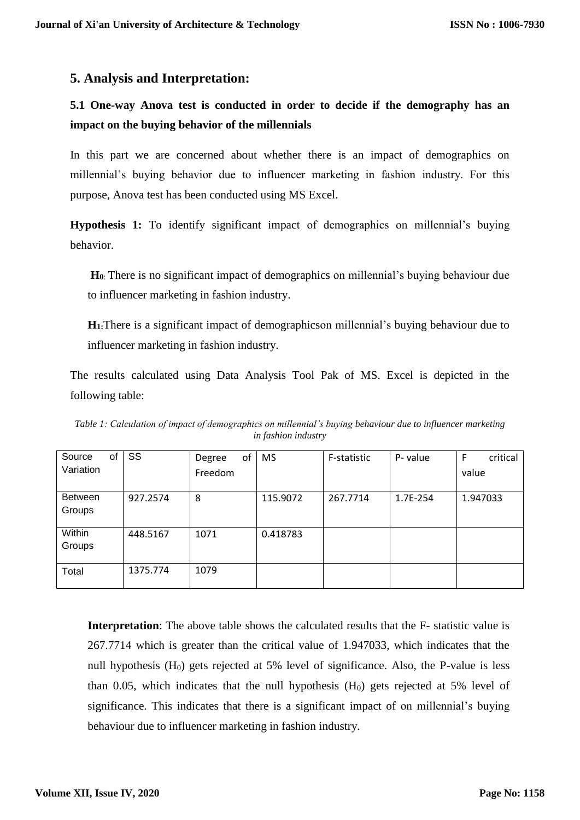## **5. Analysis and Interpretation:**

## **5.1 One-way Anova test is conducted in order to decide if the demography has an impact on the buying behavior of the millennials**

In this part we are concerned about whether there is an impact of demographics on millennial's buying behavior due to influencer marketing in fashion industry. For this purpose, Anova test has been conducted using MS Excel.

**Hypothesis 1:** To identify significant impact of demographics on millennial's buying behavior.

**H<sup>0</sup>**: There is no significant impact of demographics on millennial's buying behaviour due to influencer marketing in fashion industry.

**H1:**There is a significant impact of demographicson millennial's buying behaviour due to influencer marketing in fashion industry.

The results calculated using Data Analysis Tool Pak of MS. Excel is depicted in the following table:

*Table 1: Calculation of impact of demographics on millennial's buying behaviour due to influencer marketing in fashion industry*

| SS       | of<br>Degree | <b>MS</b> | F-statistic | P- value | critical<br>F |
|----------|--------------|-----------|-------------|----------|---------------|
|          |              |           |             |          | value         |
| 927.2574 | 8            | 115.9072  | 267.7714    | 1.7E-254 | 1.947033      |
|          |              |           |             |          |               |
| 448.5167 | 1071         | 0.418783  |             |          |               |
|          |              |           |             |          |               |
| 1375.774 | 1079         |           |             |          |               |
|          |              | Freedom   |             |          |               |

**Interpretation**: The above table shows the calculated results that the F- statistic value is 267.7714 which is greater than the critical value of 1.947033, which indicates that the null hypothesis  $(H_0)$  gets rejected at 5% level of significance. Also, the P-value is less than 0.05, which indicates that the null hypothesis  $(H<sub>0</sub>)$  gets rejected at 5% level of significance. This indicates that there is a significant impact of on millennial's buying behaviour due to influencer marketing in fashion industry.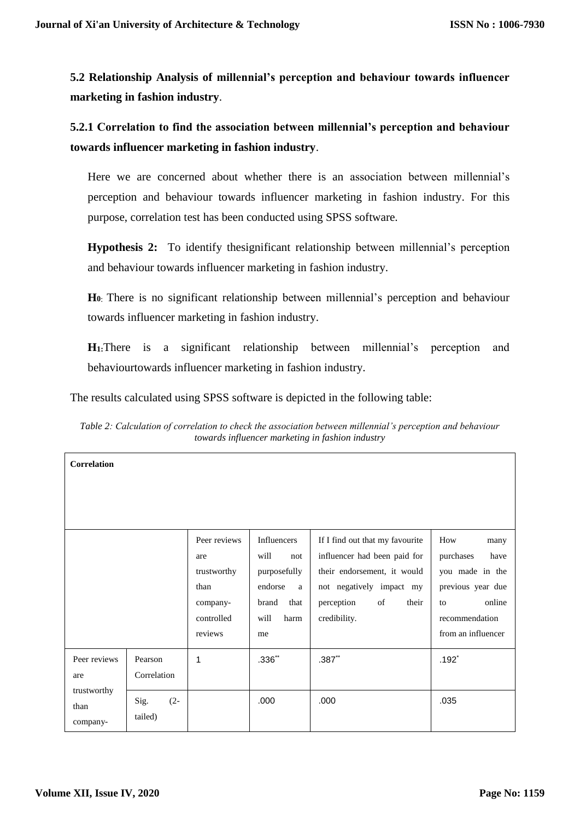**5.2 Relationship Analysis of millennial's perception and behaviour towards influencer marketing in fashion industry**.

**5.2.1 Correlation to find the association between millennial's perception and behaviour towards influencer marketing in fashion industry**.

Here we are concerned about whether there is an association between millennial's perception and behaviour towards influencer marketing in fashion industry. For this purpose, correlation test has been conducted using SPSS software.

**Hypothesis 2:** To identify thesignificant relationship between millennial's perception and behaviour towards influencer marketing in fashion industry.

**H<sup>0</sup>**: There is no significant relationship between millennial's perception and behaviour towards influencer marketing in fashion industry.

**H1:**There is a significant relationship between millennial's perception and behaviourtowards influencer marketing in fashion industry.

The results calculated using SPSS software is depicted in the following table:

| Table 2: Calculation of correlation to check the association between millennial's perception and behaviour |  |
|------------------------------------------------------------------------------------------------------------|--|
| towards influencer marketing in fashion industry                                                           |  |

| <b>Correlation</b>              |                           |                        |                               |                                                                 |                                      |
|---------------------------------|---------------------------|------------------------|-------------------------------|-----------------------------------------------------------------|--------------------------------------|
|                                 |                           |                        |                               |                                                                 |                                      |
|                                 |                           |                        |                               |                                                                 |                                      |
|                                 |                           | Peer reviews<br>are    | Influencers<br>will<br>not    | If I find out that my favourite<br>influencer had been paid for | How<br>many<br>purchases<br>have     |
|                                 |                           | trustworthy<br>than    | purposefully<br>endorse<br>a  | their endorsement, it would<br>not negatively impact my         | you made in the<br>previous year due |
|                                 |                           | company-<br>controlled | that<br>brand<br>harm<br>will | of<br>perception<br>their<br>credibility.                       | online<br>to<br>recommendation       |
|                                 |                           | reviews                | me                            |                                                                 | from an influencer                   |
| Peer reviews<br>are             | Pearson<br>Correlation    | 1                      | $.336**$                      | $.387**$                                                        | $.192*$                              |
| trustworthy<br>than<br>company- | $(2 -$<br>Sig.<br>tailed) |                        | .000                          | .000                                                            | .035                                 |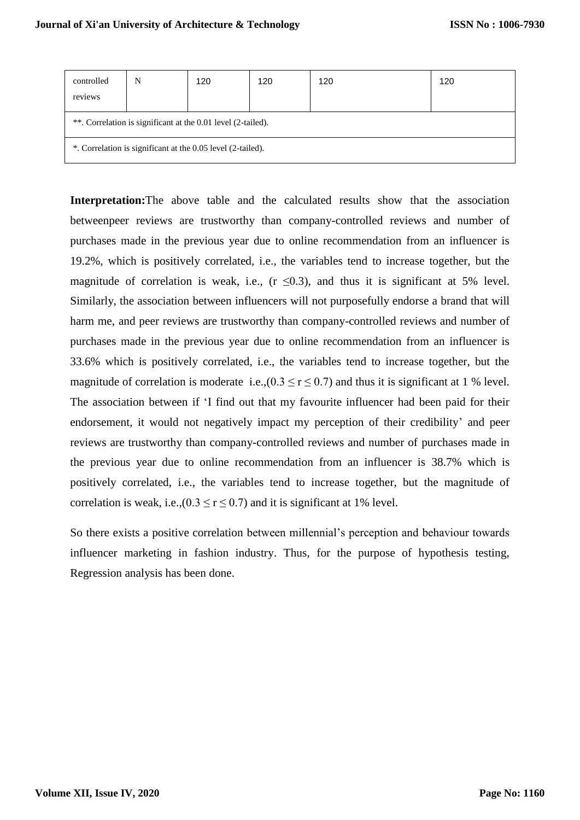| controlled<br>reviews | N                                                            | 120                                                         | 120 | 120 | 120 |  |  |  |  |
|-----------------------|--------------------------------------------------------------|-------------------------------------------------------------|-----|-----|-----|--|--|--|--|
|                       | **. Correlation is significant at the 0.01 level (2-tailed). |                                                             |     |     |     |  |  |  |  |
|                       |                                                              | *. Correlation is significant at the 0.05 level (2-tailed). |     |     |     |  |  |  |  |

**Interpretation:**The above table and the calculated results show that the association betweenpeer reviews are trustworthy than company-controlled reviews and number of purchases made in the previous year due to online recommendation from an influencer is 19.2%, which is positively correlated, i.e., the variables tend to increase together, but the magnitude of correlation is weak, i.e., ( $r \le 0.3$ ), and thus it is significant at 5% level. Similarly, the association between influencers will not purposefully endorse a brand that will harm me, and peer reviews are trustworthy than company-controlled reviews and number of purchases made in the previous year due to online recommendation from an influencer is 33.6% which is positively correlated, i.e., the variables tend to increase together, but the magnitude of correlation is moderate i.e.,( $0.3 \le r \le 0.7$ ) and thus it is significant at 1 % level. The association between if 'I find out that my favourite influencer had been paid for their endorsement, it would not negatively impact my perception of their credibility' and peer reviews are trustworthy than company-controlled reviews and number of purchases made in the previous year due to online recommendation from an influencer is 38.7% which is positively correlated, i.e., the variables tend to increase together, but the magnitude of correlation is weak, i.e.,( $0.3 \le r \le 0.7$ ) and it is significant at 1% level.

So there exists a positive correlation between millennial's perception and behaviour towards influencer marketing in fashion industry. Thus, for the purpose of hypothesis testing, Regression analysis has been done.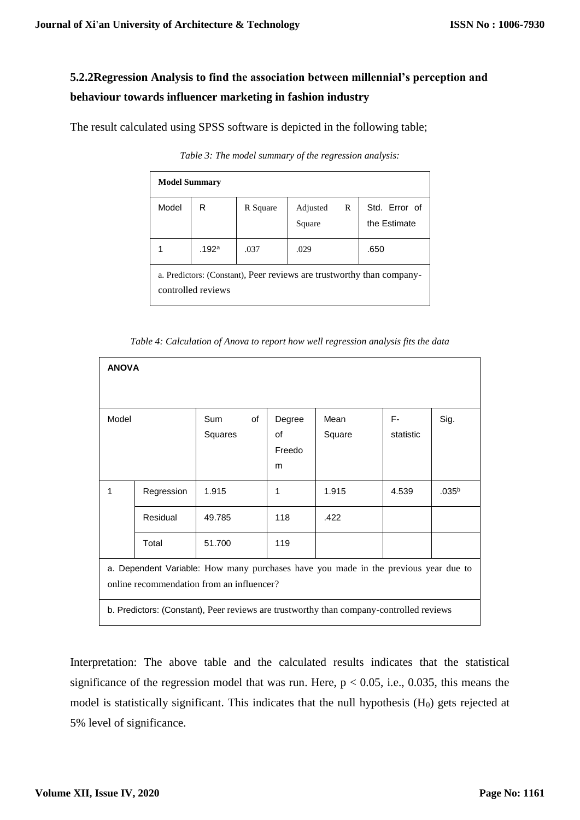## **5.2.2Regression Analysis to find the association between millennial's perception and behaviour towards influencer marketing in fashion industry**

The result calculated using SPSS software is depicted in the following table;

| <b>Model Summary</b>                                                                        |                   |          |                    |   |                               |  |  |  |
|---------------------------------------------------------------------------------------------|-------------------|----------|--------------------|---|-------------------------------|--|--|--|
| Model                                                                                       | R                 | R Square | Adjusted<br>Square | R | Std. Error of<br>the Estimate |  |  |  |
|                                                                                             | .192 <sup>a</sup> | .037     | .029               |   | .650                          |  |  |  |
| a. Predictors: (Constant), Peer reviews are trustworthy than company-<br>controlled reviews |                   |          |                    |   |                               |  |  |  |

*Table 3: The model summary of the regression analysis:*

|  |  | Table 4: Calculation of Anova to report how well regression analysis fits the data |
|--|--|------------------------------------------------------------------------------------|
|  |  |                                                                                    |

| <b>ANOVA</b> |                                                                                     |                                                                                         |        |        |           |                   |  |
|--------------|-------------------------------------------------------------------------------------|-----------------------------------------------------------------------------------------|--------|--------|-----------|-------------------|--|
|              |                                                                                     |                                                                                         |        |        |           |                   |  |
| Model        |                                                                                     | Sum<br>of                                                                               | Degree | Mean   | F-        | Sig.              |  |
|              |                                                                                     | Squares                                                                                 | οf     | Square | statistic |                   |  |
|              |                                                                                     |                                                                                         | Freedo |        |           |                   |  |
|              |                                                                                     |                                                                                         | m      |        |           |                   |  |
| 1            | Regression                                                                          | 1.915                                                                                   | 1      | 1.915  | 4.539     | .035 <sup>b</sup> |  |
|              | Residual                                                                            | 49.785                                                                                  | 118    | .422   |           |                   |  |
|              | Total                                                                               | 51.700                                                                                  | 119    |        |           |                   |  |
|              | a. Dependent Variable: How many purchases have you made in the previous year due to |                                                                                         |        |        |           |                   |  |
|              |                                                                                     | online recommendation from an influencer?                                               |        |        |           |                   |  |
|              |                                                                                     | b. Predictors: (Constant), Peer reviews are trustworthy than company-controlled reviews |        |        |           |                   |  |

Interpretation: The above table and the calculated results indicates that the statistical significance of the regression model that was run. Here,  $p < 0.05$ , i.e., 0.035, this means the model is statistically significant. This indicates that the null hypothesis  $(H<sub>0</sub>)$  gets rejected at 5% level of significance.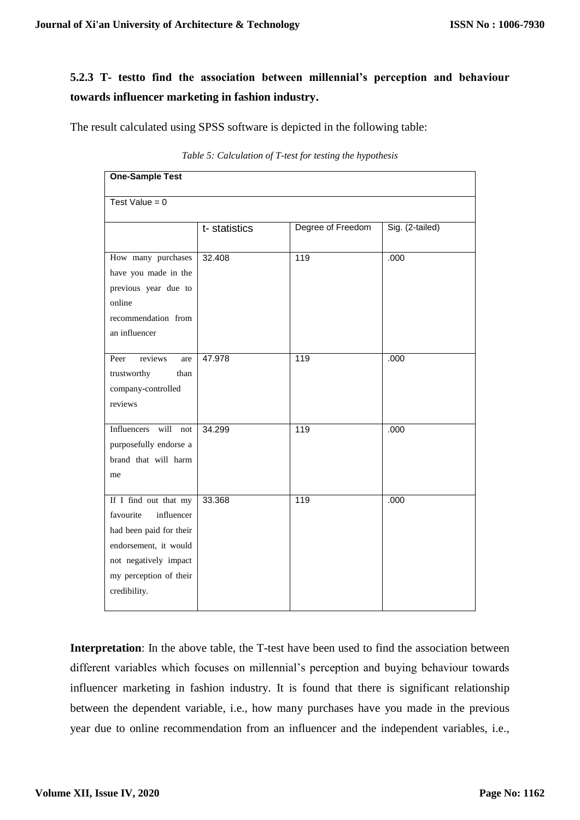## **5.2.3 T- testto find the association between millennial's perception and behaviour towards influencer marketing in fashion industry.**

The result calculated using SPSS software is depicted in the following table:

| <b>One-Sample Test</b>                                                                                                                                                  |               |                   |                 |  |  |
|-------------------------------------------------------------------------------------------------------------------------------------------------------------------------|---------------|-------------------|-----------------|--|--|
| Test Value = $0$                                                                                                                                                        |               |                   |                 |  |  |
|                                                                                                                                                                         | t- statistics | Degree of Freedom | Sig. (2-tailed) |  |  |
| How many purchases<br>have you made in the<br>previous year due to<br>online<br>recommendation from<br>an influencer                                                    | 32.408        | 119               | .000            |  |  |
| reviews<br>Peer<br>are<br>trustworthy<br>than<br>company-controlled<br>reviews                                                                                          | 47.978        | 119               | .000            |  |  |
| Influencers will not<br>purposefully endorse a<br>brand that will harm<br>me                                                                                            | 34.299        | 119               | .000            |  |  |
| If I find out that my<br>favourite<br>influencer<br>had been paid for their<br>endorsement, it would<br>not negatively impact<br>my perception of their<br>credibility. | 33.368        | 119               | .000            |  |  |

*Table 5: Calculation of T-test for testing the hypothesis*

**Interpretation**: In the above table, the T-test have been used to find the association between different variables which focuses on millennial's perception and buying behaviour towards influencer marketing in fashion industry. It is found that there is significant relationship between the dependent variable, i.e., how many purchases have you made in the previous year due to online recommendation from an influencer and the independent variables, i.e.,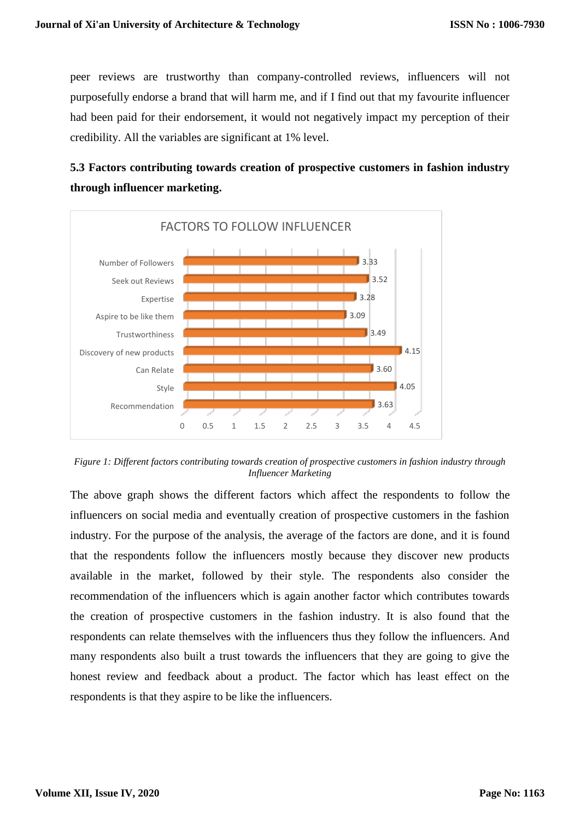peer reviews are trustworthy than company-controlled reviews, influencers will not purposefully endorse a brand that will harm me, and if I find out that my favourite influencer had been paid for their endorsement, it would not negatively impact my perception of their credibility. All the variables are significant at 1% level.

## **5.3 Factors contributing towards creation of prospective customers in fashion industry through influencer marketing.**



*Figure 1: Different factors contributing towards creation of prospective customers in fashion industry through Influencer Marketing*

The above graph shows the different factors which affect the respondents to follow the influencers on social media and eventually creation of prospective customers in the fashion industry. For the purpose of the analysis, the average of the factors are done, and it is found that the respondents follow the influencers mostly because they discover new products available in the market, followed by their style. The respondents also consider the recommendation of the influencers which is again another factor which contributes towards the creation of prospective customers in the fashion industry. It is also found that the respondents can relate themselves with the influencers thus they follow the influencers. And many respondents also built a trust towards the influencers that they are going to give the honest review and feedback about a product. The factor which has least effect on the respondents is that they aspire to be like the influencers.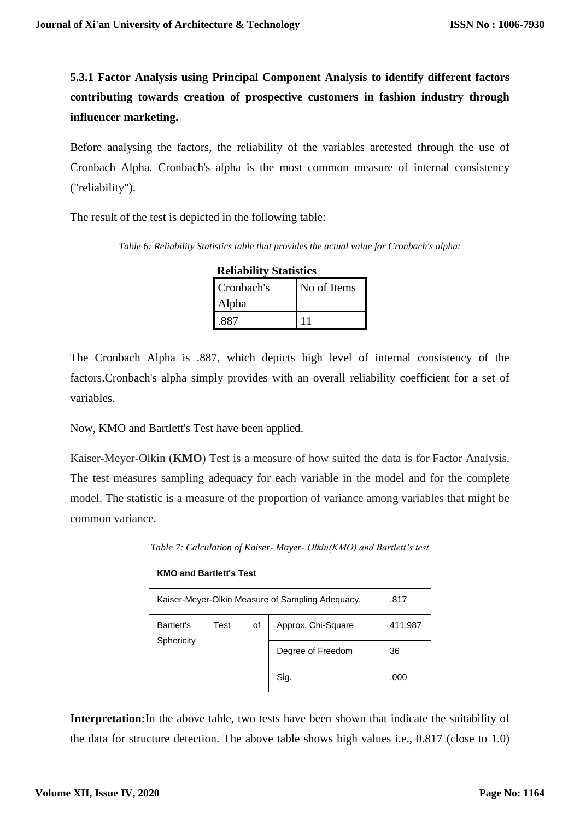**5.3.1 Factor Analysis using Principal Component Analysis to identify different factors contributing towards creation of prospective customers in fashion industry through influencer marketing.** 

Before analysing the factors, the reliability of the variables aretested through the use of Cronbach Alpha. Cronbach's alpha is the most common measure of internal consistency ("reliability").

The result of the test is depicted in the following table:

*Table 6: Reliability Statistics table that provides the actual value for Cronbach's alpha:*

| <b>Reliability Statistics</b> |             |  |  |  |  |
|-------------------------------|-------------|--|--|--|--|
| Cronbach's                    | No of Items |  |  |  |  |
| Alpha                         |             |  |  |  |  |
|                               |             |  |  |  |  |

The Cronbach Alpha is .887, which depicts high level of internal consistency of the factors.Cronbach's alpha simply provides with an overall reliability coefficient for a set of variables.

Now, KMO and Bartlett's Test have been applied.

Kaiser-Meyer-Olkin (**KMO**) Test is a measure of how suited the data is for Factor Analysis. The test measures sampling adequacy for each variable in the model and for the complete model. The statistic is a measure of the proportion of variance among variables that might be common variance.

| <b>KMO and Bartlett's Test</b>                           |      |    |                    |         |  |  |  |
|----------------------------------------------------------|------|----|--------------------|---------|--|--|--|
| .817<br>Kaiser-Meyer-Olkin Measure of Sampling Adequacy. |      |    |                    |         |  |  |  |
| Bartlett's                                               | Test | οf | Approx. Chi-Square | 411.987 |  |  |  |
| Sphericity                                               |      |    | Degree of Freedom  | 36      |  |  |  |
|                                                          |      |    | Sig.               | .000    |  |  |  |

*Table 7: Calculation of Kaiser- Mayer- Olkin(KMO) and Bartlett's test*

**Interpretation:**In the above table, two tests have been shown that indicate the suitability of the data for structure detection. The above table shows high values i.e., 0.817 (close to 1.0)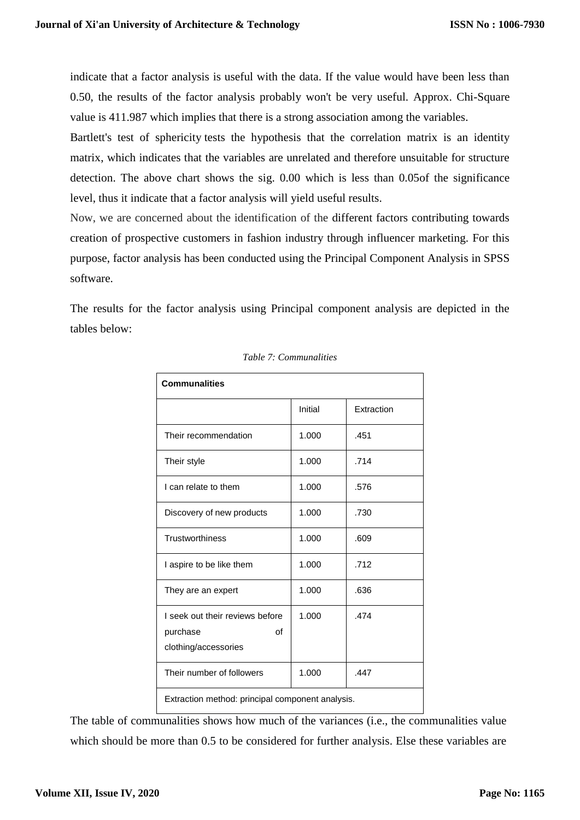indicate that a factor analysis is useful with the data. If the value would have been less than 0.50, the results of the factor analysis probably won't be very useful. Approx. Chi-Square value is 411.987 which implies that there is a strong association among the variables.

Bartlett's test of sphericity tests the hypothesis that the correlation matrix is an identity matrix, which indicates that the variables are unrelated and therefore unsuitable for structure detection. The above chart shows the sig. 0.00 which is less than 0.05of the significance level, thus it indicate that a factor analysis will yield useful results.

Now, we are concerned about the identification of the different factors contributing towards creation of prospective customers in fashion industry through influencer marketing. For this purpose, factor analysis has been conducted using the Principal Component Analysis in SPSS software.

The results for the factor analysis using Principal component analysis are depicted in the tables below:

| <b>Communalities</b>                                                      |         |            |  |  |  |  |  |
|---------------------------------------------------------------------------|---------|------------|--|--|--|--|--|
|                                                                           | Initial | Extraction |  |  |  |  |  |
| Their recommendation                                                      | 1.000   | .451       |  |  |  |  |  |
| Their style                                                               | 1.000   | .714       |  |  |  |  |  |
| I can relate to them                                                      | 1.000   | .576       |  |  |  |  |  |
| Discovery of new products                                                 | 1.000   | .730       |  |  |  |  |  |
| Trustworthiness                                                           | 1.000   | .609       |  |  |  |  |  |
| I aspire to be like them                                                  | 1.000   | .712       |  |  |  |  |  |
| They are an expert                                                        | 1.000   | .636       |  |  |  |  |  |
| I seek out their reviews before<br>purchase<br>of<br>clothing/accessories | 1.000   | .474       |  |  |  |  |  |
| Their number of followers                                                 | 1.000   | .447       |  |  |  |  |  |
| Extraction method: principal component analysis.                          |         |            |  |  |  |  |  |

*Table 7: Communalities*

The table of communalities shows how much of the variances (i.e., the communalities value which should be more than 0.5 to be considered for further analysis. Else these variables are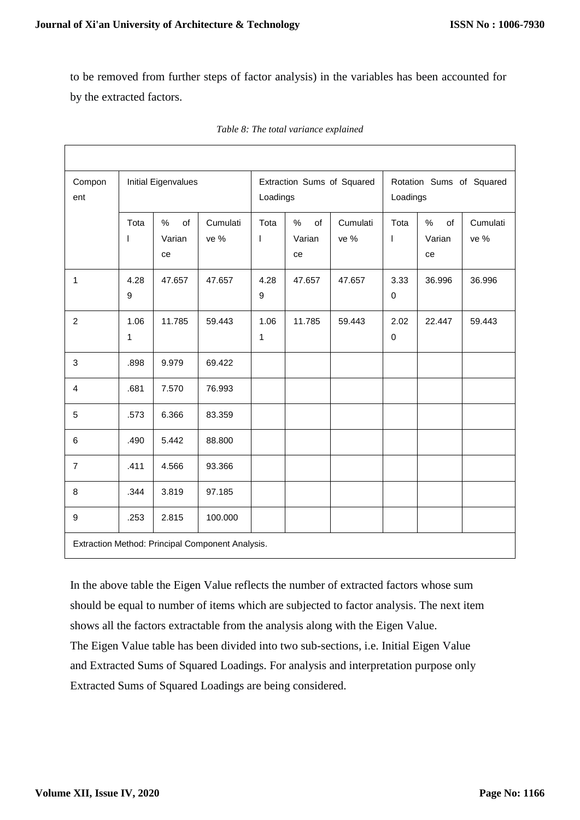to be removed from further steps of factor analysis) in the variables has been accounted for by the extracted factors.

| Compon<br>ent    | Initial Eigenvalues  |                         |                  |           | Extraction Sums of Squared<br>Loadings |                  |                        | Rotation Sums of Squared<br>Loadings |                  |  |
|------------------|----------------------|-------------------------|------------------|-----------|----------------------------------------|------------------|------------------------|--------------------------------------|------------------|--|
|                  | Tota<br>I            | of<br>%<br>Varian<br>ce | Cumulati<br>ve % | Tota<br>I | %<br>of<br>Varian<br>ce                | Cumulati<br>ve % | Tota<br>$\overline{1}$ | %<br>of<br>Varian<br>ce              | Cumulati<br>ve % |  |
| $\mathbf{1}$     | 4.28<br>9            | 47.657                  | 47.657           | 4.28<br>9 | 47.657                                 | 47.657           | 3.33<br>$\pmb{0}$      | 36.996                               | 36.996           |  |
| $\overline{c}$   | 1.06<br>$\mathbf{1}$ | 11.785                  | 59.443           | 1.06<br>1 | 11.785                                 | 59.443           | 2.02<br>$\pmb{0}$      | 22.447                               | 59.443           |  |
| $\mathfrak{Z}$   | .898                 | 9.979                   | 69.422           |           |                                        |                  |                        |                                      |                  |  |
| $\overline{4}$   | .681                 | 7.570                   | 76.993           |           |                                        |                  |                        |                                      |                  |  |
| 5                | .573                 | 6.366                   | 83.359           |           |                                        |                  |                        |                                      |                  |  |
| $\,6$            | .490                 | 5.442                   | 88.800           |           |                                        |                  |                        |                                      |                  |  |
| $\overline{7}$   | .411                 | 4.566                   | 93.366           |           |                                        |                  |                        |                                      |                  |  |
| 8                | .344                 | 3.819                   | 97.185           |           |                                        |                  |                        |                                      |                  |  |
| $\boldsymbol{9}$ | .253                 | 2.815                   | 100.000          |           |                                        |                  |                        |                                      |                  |  |

|  |  |  |  |  | Table 8: The total variance explained |
|--|--|--|--|--|---------------------------------------|
|--|--|--|--|--|---------------------------------------|

In the above table the Eigen Value reflects the number of extracted factors whose sum should be equal to number of items which are subjected to factor analysis. The next item shows all the factors extractable from the analysis along with the Eigen Value. The Eigen Value table has been divided into two sub-sections, i.e. Initial Eigen Value and Extracted Sums of Squared Loadings. For analysis and interpretation purpose only Extracted Sums of Squared Loadings are being considered.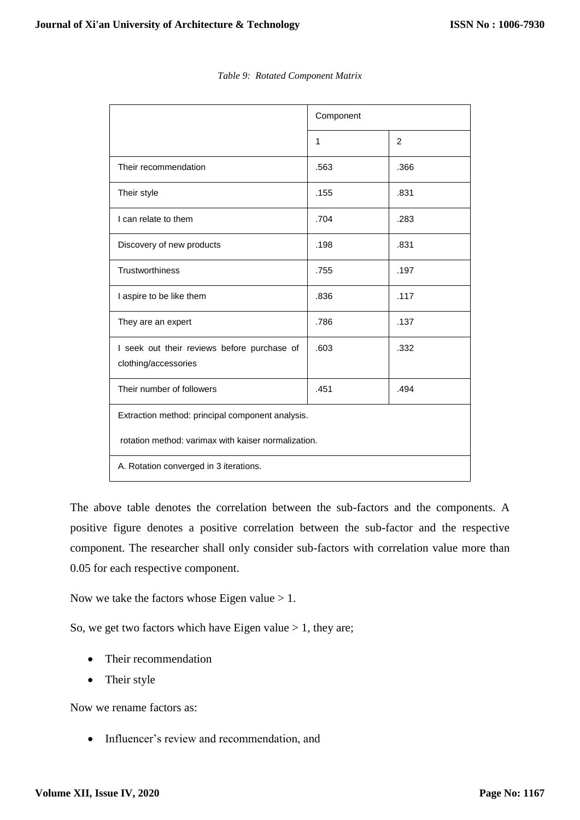|                                                                     | Component    |      |  |  |  |
|---------------------------------------------------------------------|--------------|------|--|--|--|
|                                                                     | $\mathbf{1}$ | 2    |  |  |  |
| Their recommendation                                                | .563         | .366 |  |  |  |
| Their style                                                         | .155         | .831 |  |  |  |
| I can relate to them                                                | .704         | .283 |  |  |  |
| Discovery of new products                                           | .198         | .831 |  |  |  |
| <b>Trustworthiness</b>                                              | .755         | .197 |  |  |  |
| I aspire to be like them                                            | .836         | .117 |  |  |  |
| They are an expert                                                  | .786         | .137 |  |  |  |
| I seek out their reviews before purchase of<br>clothing/accessories | .603         | .332 |  |  |  |
| Their number of followers                                           | .451         | .494 |  |  |  |
| Extraction method: principal component analysis.                    |              |      |  |  |  |
| rotation method: varimax with kaiser normalization.                 |              |      |  |  |  |
| A. Rotation converged in 3 iterations.                              |              |      |  |  |  |

#### *Table 9: Rotated Component Matrix*

The above table denotes the correlation between the sub-factors and the components. A positive figure denotes a positive correlation between the sub-factor and the respective component. The researcher shall only consider sub-factors with correlation value more than 0.05 for each respective component.

Now we take the factors whose Eigen value  $> 1$ .

So, we get two factors which have Eigen value  $> 1$ , they are;

- Their recommendation
- Their style

Now we rename factors as:

• Influencer's review and recommendation, and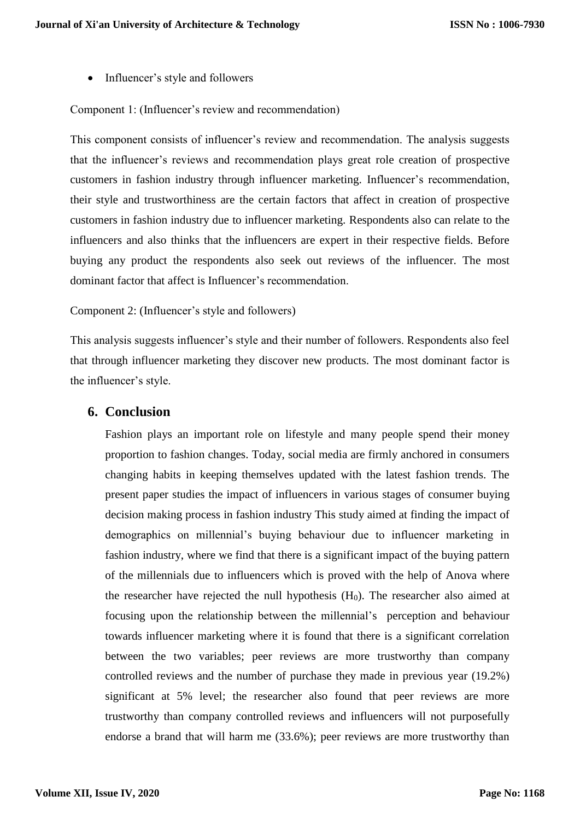• Influencer's style and followers

#### Component 1: (Influencer's review and recommendation)

This component consists of influencer's review and recommendation. The analysis suggests that the influencer's reviews and recommendation plays great role creation of prospective customers in fashion industry through influencer marketing. Influencer's recommendation, their style and trustworthiness are the certain factors that affect in creation of prospective customers in fashion industry due to influencer marketing. Respondents also can relate to the influencers and also thinks that the influencers are expert in their respective fields. Before buying any product the respondents also seek out reviews of the influencer. The most dominant factor that affect is Influencer's recommendation.

#### Component 2: (Influencer's style and followers)

This analysis suggests influencer's style and their number of followers. Respondents also feel that through influencer marketing they discover new products. The most dominant factor is the influencer's style.

#### **6. Conclusion**

Fashion plays an important role on lifestyle and many people spend their money proportion to fashion changes. Today, social media are firmly anchored in consumers changing habits in keeping themselves updated with the latest fashion trends. The present paper studies the impact of influencers in various stages of consumer buying decision making process in fashion industry This study aimed at finding the impact of demographics on millennial's buying behaviour due to influencer marketing in fashion industry, where we find that there is a significant impact of the buying pattern of the millennials due to influencers which is proved with the help of Anova where the researcher have rejected the null hypothesis  $(H<sub>0</sub>)$ . The researcher also aimed at focusing upon the relationship between the millennial's perception and behaviour towards influencer marketing where it is found that there is a significant correlation between the two variables; peer reviews are more trustworthy than company controlled reviews and the number of purchase they made in previous year (19.2%) significant at 5% level; the researcher also found that peer reviews are more trustworthy than company controlled reviews and influencers will not purposefully endorse a brand that will harm me (33.6%); peer reviews are more trustworthy than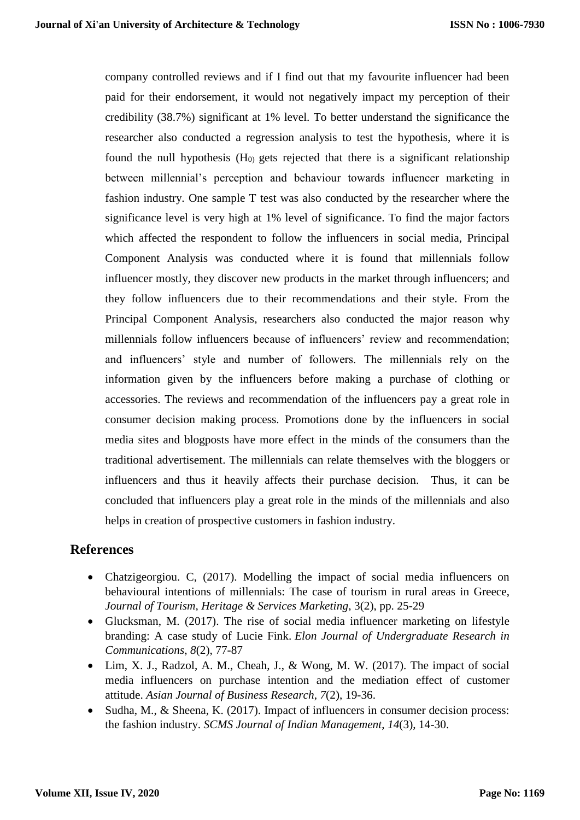company controlled reviews and if I find out that my favourite influencer had been paid for their endorsement, it would not negatively impact my perception of their credibility (38.7%) significant at 1% level. To better understand the significance the researcher also conducted a regression analysis to test the hypothesis, where it is found the null hypothesis  $(H_0)$  gets rejected that there is a significant relationship between millennial's perception and behaviour towards influencer marketing in fashion industry. One sample T test was also conducted by the researcher where the significance level is very high at 1% level of significance. To find the major factors which affected the respondent to follow the influencers in social media, Principal Component Analysis was conducted where it is found that millennials follow influencer mostly, they discover new products in the market through influencers; and they follow influencers due to their recommendations and their style. From the Principal Component Analysis, researchers also conducted the major reason why millennials follow influencers because of influencers' review and recommendation; and influencers' style and number of followers. The millennials rely on the information given by the influencers before making a purchase of clothing or accessories. The reviews and recommendation of the influencers pay a great role in consumer decision making process. Promotions done by the influencers in social media sites and blogposts have more effect in the minds of the consumers than the traditional advertisement. The millennials can relate themselves with the bloggers or influencers and thus it heavily affects their purchase decision. Thus, it can be concluded that influencers play a great role in the minds of the millennials and also helps in creation of prospective customers in fashion industry.

## **References**

- Chatzigeorgiou. C, (2017). Modelling the impact of social media influencers on behavioural intentions of millennials: The case of tourism in rural areas in Greece, *Journal of Tourism, Heritage & Services Marketing*, 3(2), pp. 25-29
- Glucksman, M. (2017). The rise of social media influencer marketing on lifestyle branding: A case study of Lucie Fink. *Elon Journal of Undergraduate Research in Communications*, *8*(2), 77-87
- $\bullet$  Lim, X. J., Radzol, A. M., Cheah, J., & Wong, M. W. (2017). The impact of social media influencers on purchase intention and the mediation effect of customer attitude. *Asian Journal of Business Research*, *7*(2), 19-36.
- Sudha, M., & Sheena, K. (2017). Impact of influencers in consumer decision process: the fashion industry. *SCMS Journal of Indian Management*, *14*(3), 14-30.